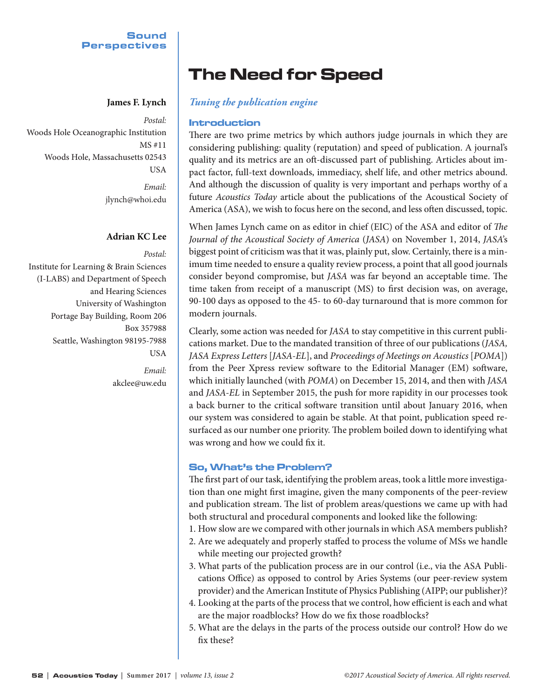## **Sound** Perspectives

*Postal:* Woods Hole Oceanographic Institution MS #11 Woods Hole, Massachusetts 02543 USA *Email:* jlynch@whoi.edu

# **Adrian KC Lee**

*Postal:* Institute for Learning & Brain Sciences (I-LABS) and Department of Speech and Hearing Sciences University of Washington Portage Bay Building, Room 206 Box 357988 Seattle, Washington 98195-7988 USA

> *Email:* akclee@uw.edu

# The Need for Speed

# **James F. Lynch** *Tuning the publication engine*

# Introduction

There are two prime metrics by which authors judge journals in which they are considering publishing: quality (reputation) and speed of publication. A journal's quality and its metrics are an oft-discussed part of publishing. Articles about impact factor, full-text downloads, immediacy, shelf life, and other metrics abound. And although the discussion of quality is very important and perhaps worthy of a future *Acoustics Today* article about the publications of the Acoustical Society of America (ASA), we wish to focus here on the second, and less often discussed, topic.

When James Lynch came on as editor in chief (EIC) of the ASA and editor of *The Journal of the Acoustical Society of America* (*JASA*) on November 1, 2014, *JASA'*s biggest point of criticism was that it was, plainly put, slow. Certainly, there is a minimum time needed to ensure a quality review process, a point that all good journals consider beyond compromise, but *JASA* was far beyond an acceptable time. The time taken from receipt of a manuscript (MS) to first decision was, on average, 90-100 days as opposed to the 45- to 60-day turnaround that is more common for modern journals.

Clearly, some action was needed for *JASA* to stay competitive in this current publications market. Due to the mandated transition of three of our publications (*JASA, JASA Express Letters* [*JASA-EL*], and *Proceedings of Meetings on Acoustics* [*POMA*]) from the Peer Xpress review software to the Editorial Manager (EM) software, which initially launched (with *POMA*) on December 15, 2014, and then with *JASA*  and *JASA-EL* in September 2015, the push for more rapidity in our processes took a back burner to the critical software transition until about January 2016, when our system was considered to again be stable. At that point, publication speed resurfaced as our number one priority. The problem boiled down to identifying what was wrong and how we could fix it.

# So, What's the Problem?

The first part of our task, identifying the problem areas, took a little more investigation than one might first imagine, given the many components of the peer-review and publication stream. The list of problem areas/questions we came up with had both structural and procedural components and looked like the following:

- 1. How slow are we compared with other journals in which ASA members publish?
- 2. Are we adequately and properly staffed to process the volume of MSs we handle while meeting our projected growth?
- 3. What parts of the publication process are in our control (i.e., via the ASA Publications Office) as opposed to control by Aries Systems (our peer-review system provider) and the American Institute of Physics Publishing (AIPP; our publisher)?
- 4. Looking at the parts of the process that we control, how efficient is each and what are the major roadblocks? How do we fix those roadblocks?
- 5. What are the delays in the parts of the process outside our control? How do we fix these?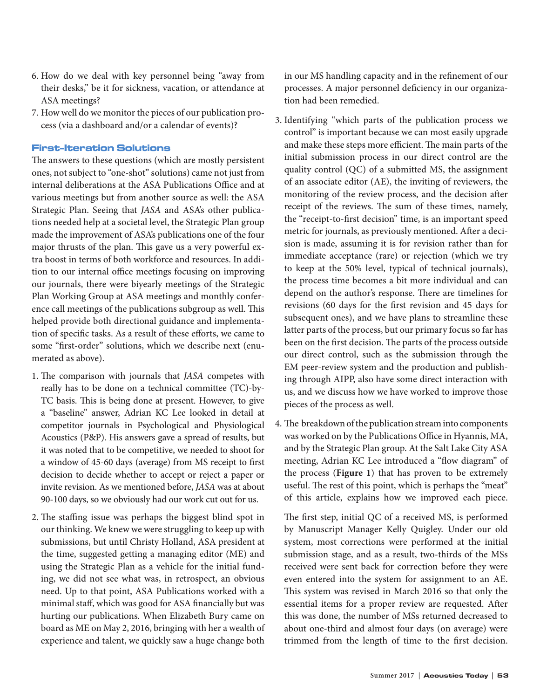- 6. How do we deal with key personnel being "away from their desks," be it for sickness, vacation, or attendance at ASA meetings?
- 7. How well do we monitor the pieces of our publication process (via a dashboard and/or a calendar of events)?

# First-Iteration Solutions

The answers to these questions (which are mostly persistent ones, not subject to "one-shot" solutions) came not just from internal deliberations at the ASA Publications Office and at various meetings but from another source as well: the ASA Strategic Plan. Seeing that *JASA* and ASA's other publications needed help at a societal level, the Strategic Plan group made the improvement of ASA's publications one of the four major thrusts of the plan. This gave us a very powerful extra boost in terms of both workforce and resources. In addition to our internal office meetings focusing on improving our journals, there were biyearly meetings of the Strategic Plan Working Group at ASA meetings and monthly conference call meetings of the publications subgroup as well. This helped provide both directional guidance and implementation of specific tasks. As a result of these efforts, we came to some "first-order" solutions, which we describe next (enumerated as above).

- 1. The comparison with journals that *JASA* competes with really has to be done on a technical committee (TC)-by-TC basis. This is being done at present. However, to give a "baseline" answer, Adrian KC Lee looked in detail at competitor journals in Psychological and Physiological Acoustics (P&P). His answers gave a spread of results, but it was noted that to be competitive, we needed to shoot for a window of 45-60 days (average) from MS receipt to first decision to decide whether to accept or reject a paper or invite revision. As we mentioned before, *JASA* was at about 90-100 days, so we obviously had our work cut out for us.
- 2. The staffing issue was perhaps the biggest blind spot in our thinking. We knew we were struggling to keep up with submissions, but until Christy Holland, ASA president at the time, suggested getting a managing editor (ME) and using the Strategic Plan as a vehicle for the initial funding, we did not see what was, in retrospect, an obvious need. Up to that point, ASA Publications worked with a minimal staff, which was good for ASA financially but was hurting our publications. When Elizabeth Bury came on board as ME on May 2, 2016, bringing with her a wealth of experience and talent, we quickly saw a huge change both

in our MS handling capacity and in the refinement of our processes. A major personnel deficiency in our organization had been remedied.

- 3. Identifying "which parts of the publication process we control" is important because we can most easily upgrade and make these steps more efficient. The main parts of the initial submission process in our direct control are the quality control (QC) of a submitted MS, the assignment of an associate editor (AE), the inviting of reviewers, the monitoring of the review process, and the decision after receipt of the reviews. The sum of these times, namely, the "receipt-to-first decision" time, is an important speed metric for journals, as previously mentioned. After a decision is made, assuming it is for revision rather than for immediate acceptance (rare) or rejection (which we try to keep at the 50% level, typical of technical journals), the process time becomes a bit more individual and can depend on the author's response. There are timelines for revisions (60 days for the first revision and 45 days for subsequent ones), and we have plans to streamline these latter parts of the process, but our primary focus so far has been on the first decision. The parts of the process outside our direct control, such as the submission through the EM peer-review system and the production and publishing through AIPP, also have some direct interaction with us, and we discuss how we have worked to improve those pieces of the process as well.
- 4. The breakdown of the publication stream into components was worked on by the Publications Office in Hyannis, MA, and by the Strategic Plan group. At the Salt Lake City ASA meeting, Adrian KC Lee introduced a "flow diagram" of the process (**Figure 1**) that has proven to be extremely useful. The rest of this point, which is perhaps the "meat" of this article, explains how we improved each piece.

The first step, initial QC of a received MS, is performed by Manuscript Manager Kelly Quigley. Under our old system, most corrections were performed at the initial submission stage, and as a result, two-thirds of the MSs received were sent back for correction before they were even entered into the system for assignment to an AE. This system was revised in March 2016 so that only the essential items for a proper review are requested. After this was done, the number of MSs returned decreased to about one-third and almost four days (on average) were trimmed from the length of time to the first decision.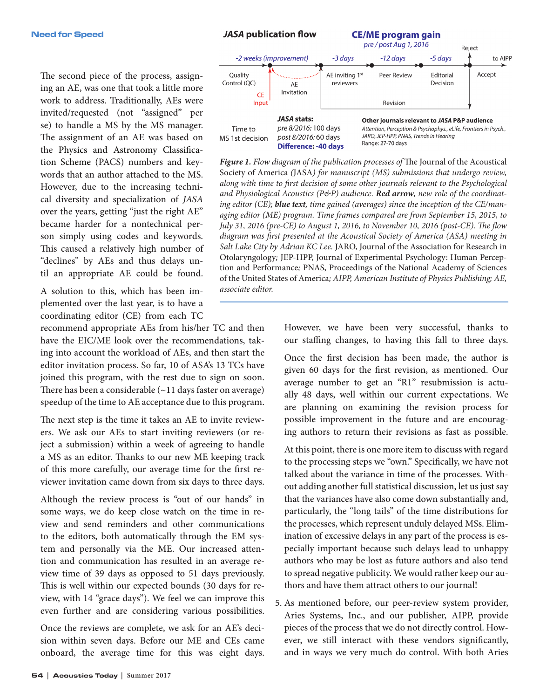**JASA publication flow CE/ME program gain** pre / post Aug 1, 2016 Reject

The second piece of the process, assigning an AE, was one that took a little more work to address. Traditionally, AEs were invited/requested (not "assigned" per se) to handle a MS by the MS manager. The assignment of an AE was based on the Physics and Astronomy Classification Scheme (PACS) numbers and keywords that an author attached to the MS. However, due to the increasing technical diversity and specialization of *JASA*  over the years, getting "just the right AE" became harder for a nontechnical person simply using codes and keywords. This caused a relatively high number of "declines" by AEs and thus delays until an appropriate AE could be found.

A solution to this, which has been implemented over the last year, is to have a coordinating editor (CE) from each TC

recommend appropriate AEs from his/her TC and then have the EIC/ME look over the recommendations, taking into account the workload of AEs, and then start the editor invitation process. So far, 10 of ASA's 13 TCs have joined this program, with the rest due to sign on soon. There has been a considerable  $(\sim 11 \text{ days faster on average})$ speedup of the time to AE acceptance due to this program.

The next step is the time it takes an AE to invite reviewers. We ask our AEs to start inviting reviewers (or reject a submission) within a week of agreeing to handle a MS as an editor. Thanks to our new ME keeping track of this more carefully, our average time for the first reviewer invitation came down from six days to three days.

Although the review process is "out of our hands" in some ways, we do keep close watch on the time in review and send reminders and other communications to the editors, both automatically through the EM system and personally via the ME. Our increased attention and communication has resulted in an average review time of 39 days as opposed to 51 days previously. This is well within our expected bounds (30 days for review, with 14 "grace days"). We feel we can improve this even further and are considering various possibilities.

Once the reviews are complete, we ask for an AE's decision within seven days. Before our ME and CEs came onboard, the average time for this was eight days.



*Figure 1. Flow diagram of the publication processes of* The Journal of the Acoustical Society of America *(*JASA*) for manuscript (MS) submissions that undergo review, along with time to first decision of some other journals relevant to the Psychological and Physiological Acoustics (P&P) audience. Red arrow, new role of the coordinating editor (CE); blue text, time gained (averages) since the inception of the CE/managing editor (ME) program. Time frames compared are from September 15, 2015, to July 31, 2016 (pre-CE) to August 1, 2016, to November 10, 2016 (post-CE). The flow diagram was first presented at the Acoustical Society of America (ASA) meeting in Salt Lake City by Adrian KC Lee.* JARO, Journal of the Association for Research in Otolaryngology*;* JEP-HPP, Journal of Experimental Psychology: Human Perception and Performance*;* PNAS, Proceedings of the National Academy of Sciences of the United States of America*; AIPP, American Institute of Physics Publishing; AE, associate editor.*

> However, we have been very successful, thanks to our staffing changes, to having this fall to three days.

> Once the first decision has been made, the author is given 60 days for the first revision, as mentioned. Our average number to get an "R1" resubmission is actually 48 days, well within our current expectations. We are planning on examining the revision process for possible improvement in the future and are encouraging authors to return their revisions as fast as possible.

> At this point, there is one more item to discuss with regard to the processing steps we "own." Specifically, we have not talked about the variance in time of the processes. Without adding another full statistical discussion, let us just say that the variances have also come down substantially and, particularly, the "long tails" of the time distributions for the processes, which represent unduly delayed MSs. Elimination of excessive delays in any part of the process is especially important because such delays lead to unhappy authors who may be lost as future authors and also tend to spread negative publicity. We would rather keep our authors and have them attract others to our journal!

5. As mentioned before, our peer-review system provider, Aries Systems, Inc., and our publisher, AIPP, provide pieces of the process that we do not directly control. However, we still interact with these vendors significantly, and in ways we very much do control. With both Aries